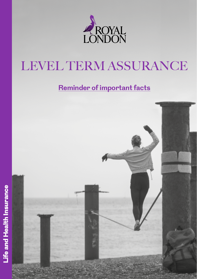

# LEVEL TERM ASSURANCE

# **Reminder of important facts**

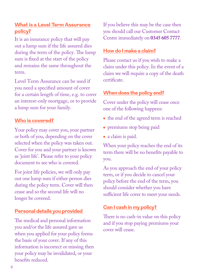## **What is a Level Term Assurance policy?**

It is an insurance policy that will pay out a lump sum if the life assured dies during the term of the policy. The lump sum is fixed at the start of the policy and remains the same throughout the term.

Level Term Assurance can be used if you need a specified amount of cover for a certain length of time, e.g. to cover an interest-only mortgage, or to provide a lump sum for your family.

#### **Who is covered?**

Your policy may cover you, your partner or both of you, depending on the cover selected when the policy was taken out. Cover for you and your partner is known as 'joint life'. Please refer to your policy document to see who is covered.

For joint life policies, we will only pay out one lump sum if either person dies during the policy term. Cover will then cease and so the second life will no longer be covered.

## **Personal details you provided**

The medical and personal information you and/or the life assured gave us when you applied for your policy forms the basis of your cover. If any of this information is incorrect or missing then your policy may be invalidated, or your benefits reduced.

If you believe this may be the case then you should call our Customer Contact Centre immediately on **0345 605 7777**.

#### **How do I make a claim?**

Please contact us if you wish to make a claim under this policy. In the event of a claim we will require a copy of the death certificate.

#### **When does the policy end?**

Cover under the policy will cease once one of the following happens:

- the end of the agreed term is reached
- premiums stop being paid
- a claim is paid.

When your policy reaches the end of its term there will be no benefits payable to you.

As you approach the end of your policy term, or if you decide to cancel your policy before the end of the term, you should consider whether you have sufficient life cover to meet your needs.

## **Can I cash in my policy?**

There is no cash-in value on this policy and if you stop paying premiums your cover will cease.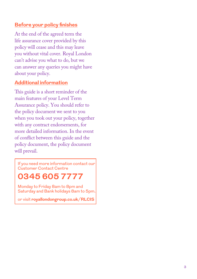#### **Before your policy finishes**

At the end of the agreed term the life assurance cover provided by this policy will cease and this may leave you without vital cover. Royal London can't advise you what to do, but we can answer any queries you might have about your policy.

#### **Additional information**

This guide is a short reminder of the main features of your Level Term Assurance policy. You should refer to the policy document we sent to you when you took out your policy, together with any contract endorsements, for more detailed information. In the event of conflict between this guide and the policy document, the policy document will prevail.

If you need more information contact our Customer Contact Centre

# **0345 605 7777**

Monday to Friday 8am to 8pm and Saturday and Bank holidays 8am to 5pm.

or visit **[royallondongroup.co.uk/RLCIS](http://royallondongroup.co.uk/RLCIS
)**